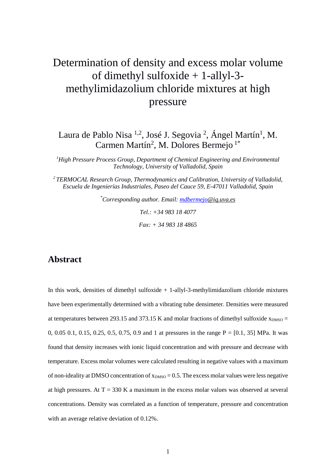# Determination of density and excess molar volume of dimethyl sulfoxide + 1-allyl-3 methylimidazolium chloride mixtures at high pressure

Laura de Pablo Nisa <sup>1,2</sup>, José J. Segovia <sup>2</sup>, Ángel Martín<sup>1</sup>, M. Carmen Martín<sup>2</sup>, M. Dolores Bermejo<sup>1\*</sup>

*1 High Pressure Process Group, Department of Chemical Engineering and Environmental Technology, University of Valladolid, Spain*

*2 TERMOCAL Research Group, Thermodynamics and Calibration, University of Valladolid, Escuela de Ingenierías Industriales, Paseo del Cauce 59, E-47011 Valladolid, Spain*

> *\* Corresponding author. Email: [mdbermejo@i](mailto:mdbermejo)q.uva.es Tel.: +34 983 18 4077 Fax: + 34 983 18 4865*

#### **Abstract**

In this work, densities of dimethyl sulfoxide + 1-allyl-3-methylimidazolium chloride mixtures have been experimentally determined with a vibrating tube densimeter. Densities were measured at temperatures between 293.15 and 373.15 K and molar fractions of dimethyl sulfoxide  $x_{DMSO} =$ 0, 0.05 0.1, 0.15, 0.25, 0.5, 0.75, 0.9 and 1 at pressures in the range  $P = [0.1, 35]$  MPa. It was found that density increases with ionic liquid concentration and with pressure and decrease with temperature. Excess molar volumes were calculated resulting in negative values with a maximum of non-ideality at DMSO concentration of  $x_{DMSO} = 0.5$ . The excess molar values were less negative at high pressures. At  $T = 330$  K a maximum in the excess molar values was observed at several concentrations. Density was correlated as a function of temperature, pressure and concentration with an average relative deviation of 0.12%.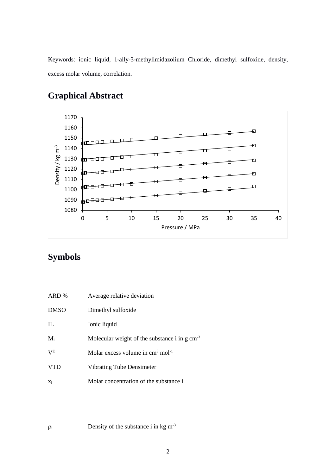Keywords: ionic liquid, 1-ally-3-methylimidazolium Chloride, dimethyl sulfoxide, density, excess molar volume, correlation.



## **Graphical Abstract**

## **Symbols**

| ARD %       | Average relative deviation                                 |
|-------------|------------------------------------------------------------|
| <b>DMSO</b> | Dimethyl sulfoxide                                         |
| IL          | Ionic liquid                                               |
| $M_i$       | Molecular weight of the substance i in $g \text{ cm}^{-3}$ |
| $V^{E}$     | Molar excess volume in $cm3$ mol <sup>-1</sup>             |
| <b>VTD</b>  | <b>Vibrating Tube Densimeter</b>                           |
| Xi          | Molar concentration of the substance i                     |

 $\rho_i$  Density of the substance i in kg m<sup>-3</sup>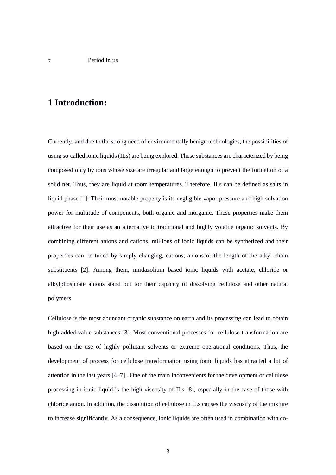### **1 Introduction:**

Currently, and due to the strong need of environmentally benign technologies, the possibilities of using so-called ionic liquids (ILs) are being explored. These substances are characterized by being composed only by ions whose size are irregular and large enough to prevent the formation of a solid net. Thus, they are liquid at room temperatures. Therefore, ILs can be defined as salts in liquid phase [1]. Their most notable property is its negligible vapor pressure and high solvation power for multitude of components, both organic and inorganic. These properties make them attractive for their use as an alternative to traditional and highly volatile organic solvents. By combining different anions and cations, millions of ionic liquids can be synthetized and their properties can be tuned by simply changing, cations, anions or the length of the alkyl chain substituents [2]. Among them, imidazolium based ionic liquids with acetate, chloride or alkylphosphate anions stand out for their capacity of dissolving cellulose and other natural polymers.

Cellulose is the most abundant organic substance on earth and its processing can lead to obtain high added-value substances [3]. Most conventional processes for cellulose transformation are based on the use of highly pollutant solvents or extreme operational conditions. Thus, the development of process for cellulose transformation using ionic liquids has attracted a lot of attention in the last years [4–7] . One of the main inconvenients for the development of cellulose processing in ionic liquid is the high viscosity of ILs [8], especially in the case of those with chloride anion. In addition, the dissolution of cellulose in ILs causes the viscosity of the mixture to increase significantly. As a consequence, ionic liquids are often used in combination with co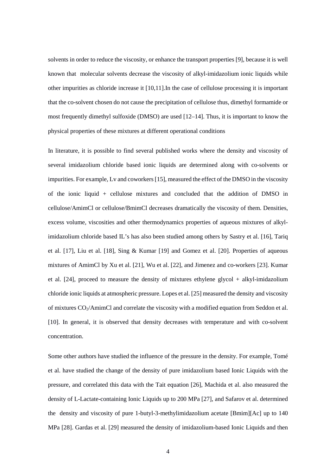solvents in order to reduce the viscosity, or enhance the transport properties [9], because it is well known that molecular solvents decrease the viscosity of alkyl-imidazolium ionic liquids while other impurities as chloride increase it [10,11].In the case of cellulose processing it is important that the co-solvent chosen do not cause the precipitation of cellulose thus, dimethyl formamide or most frequently dimethyl sulfoxide (DMSO) are used [12–14]. Thus, it is important to know the physical properties of these mixtures at different operational conditions

In literature, it is possible to find several published works where the density and viscosity of several imidazolium chloride based ionic liquids are determined along with co-solvents or impurities. For example, Lv and coworkers [15], measured the effect of the DMSO in the viscosity of the ionic liquid + cellulose mixtures and concluded that the addition of DMSO in cellulose/AmimCl or cellulose/BmimCl decreases dramatically the viscosity of them. Densities, excess volume, viscosities and other thermodynamics properties of aqueous mixtures of alkylimidazolium chloride based IL's has also been studied among others by Sastry et al. [16], Tariq et al. [17], Liu et al. [18], Sing & Kumar [19] and Gomez et al. [20]. Properties of aqueous mixtures of AmimCl by Xu et al. [21], Wu et al. [22], and Jimenez and co-workers [23]. Kumar et al. [24], proceed to measure the density of mixtures ethylene glycol + alkyl-imidazolium chloride ionic liquids at atmospheric pressure. Lopes et al. [25] measured the density and viscosity of mixtures CO<sub>2</sub>/AmimCl and correlate the viscosity with a modified equation from Seddon et al. [10]. In general, it is observed that density decreases with temperature and with co-solvent concentration.

Some other authors have studied the influence of the pressure in the density. For example, Tomé et al. have studied the change of the density of pure imidazolium based Ionic Liquids with the pressure, and correlated this data with the Tait equation [26], Machida et al. also measured the density of L-Lactate-containing Ionic Liquids up to 200 MPa [27], and Safarov et al. determined the density and viscosity of pure 1-butyl-3-methylimidazolium acetate [Bmim][Ac] up to 140 MPa [28]. Gardas et al. [29] measured the density of imidazolium-based Ionic Liquids and then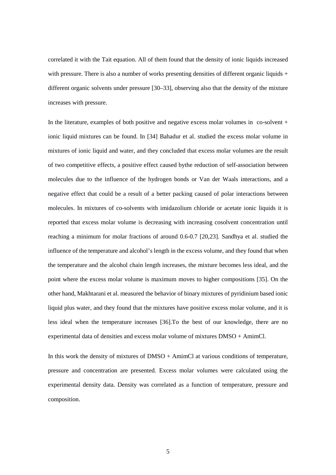correlated it with the Tait equation. All of them found that the density of ionic liquids increased with pressure. There is also a number of works presenting densities of different organic liquids  $+$ different organic solvents under pressure [30–33], observing also that the density of the mixture increases with pressure.

In the literature, examples of both positive and negative excess molar volumes in co-solvent + ionic liquid mixtures can be found. In [34] Bahadur et al. studied the excess molar volume in mixtures of ionic liquid and water, and they concluded that excess molar volumes are the result of two competitive effects, a positive effect caused bythe reduction of self-association between molecules due to the influence of the hydrogen bonds or Van der Waals interactions, and a negative effect that could be a result of a better packing caused of polar interactions between molecules. In mixtures of co-solvents with imidazolium chloride or acetate ionic liquids it is reported that excess molar volume is decreasing with increasing cosolvent concentration until reaching a minimum for molar fractions of around 0.6-0.7 [20,23]. Sandhya et al. studied the influence of the temperature and alcohol's length in the excess volume, and they found that when the temperature and the alcohol chain length increases, the mixture becomes less ideal, and the point where the excess molar volume is maximum moves to higher compositions [35]. On the other hand, Makhtarani et al. measured the behavior of binary mixtures of pyridinium based ionic liquid plus water, and they found that the mixtures have positive excess molar volume, and it is less ideal when the temperature increases [36].To the best of our knowledge, there are no experimental data of densities and excess molar volume of mixtures DMSO + AmimCl.

In this work the density of mixtures of DMSO + AmimCl at various conditions of temperature, pressure and concentration are presented. Excess molar volumes were calculated using the experimental density data. Density was correlated as a function of temperature, pressure and composition.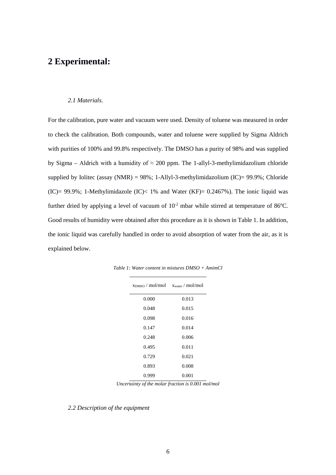### **2 Experimental:**

#### *2.1 Materials.*

For the calibration, pure water and vacuum were used. Density of toluene was measured in order to check the calibration. Both compounds, water and toluene were supplied by Sigma Aldrich with purities of 100% and 99.8% respectively. The DMSO has a purity of 98% and was supplied by Sigma – Aldrich with a humidity of  $\approx 200$  ppm. The 1-allyl-3-methylimidazolium chloride supplied by Iolitec (assay (NMR) =  $98\%$ ; 1-Allyl-3-methylimidazolium (IC)=  $99.9\%$ ; Chloride (IC)= 99.9%; 1-Methylimidazole (IC)< 1% and Water (KF)=  $0.2467%$ ). The ionic liquid was further dried by applying a level of vacuum of  $10^{-2}$  mbar while stirred at temperature of 86°C. Good results of humidity were obtained after this procedure as it is shown i[n Table 1.](#page-5-0) In addition, the ionic liquid was carefully handled in order to avoid absorption of water from the air, as it is explained below.

| $x_{\text{DMSO}} / \text{mol/mol}$ $x_{\text{water}} / \text{mol/mol}$ |       |
|------------------------------------------------------------------------|-------|
| 0.000                                                                  | 0.013 |
| 0.048                                                                  | 0.015 |
| 0.098                                                                  | 0.016 |
| 0.147                                                                  | 0.014 |
| 0.248                                                                  | 0.006 |
| 0.495                                                                  | 0.011 |
| 0.729                                                                  | 0.021 |
| 0.893                                                                  | 0.008 |
| 0.999                                                                  | 0.001 |

<span id="page-5-0"></span>*Table 1: Water content in mixtures DMSO + AmimCl* 

*Uncertainty of the molar fraction is 0.001 mol/mol*

#### *2.2 Description of the equipment*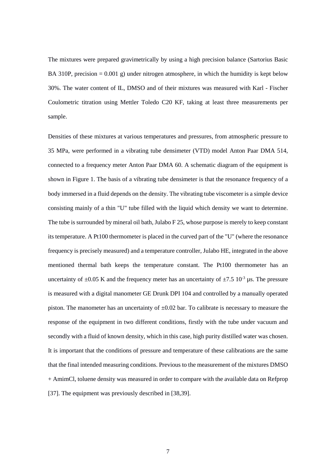The mixtures were prepared gravimetrically by using a high precision balance (Sartorius Basic BA 310P, precision  $= 0.001$  g) under nitrogen atmosphere, in which the humidity is kept below 30%. The water content of IL, DMSO and of their mixtures was measured with Karl - Fischer Coulometric titration using Mettler Toledo C20 KF, taking at least three measurements per sample.

Densities of these mixtures at various temperatures and pressures, from atmospheric pressure to 35 MPa, were performed in a vibrating tube densimeter (VTD) model Anton Paar DMA 514, connected to a frequency meter Anton Paar DMA 60. A schematic diagram of the equipment is shown in Figure 1. The basis of a vibrating tube densimeter is that the resonance frequency of a body immersed in a fluid depends on the density. The vibrating tube viscometer is a simple device consisting mainly of a thin "U" tube filled with the liquid which density we want to determine. The tube is surrounded by mineral oil bath, Julabo F 25, whose purpose is merely to keep constant its temperature. A Pt100 thermometer is placed in the curved part of the "U" (where the resonance frequency is precisely measured) and a temperature controller, Julabo HE, integrated in the above mentioned thermal bath keeps the temperature constant. The Pt100 thermometer has an uncertainty of  $\pm 0.05$  K and the frequency meter has an uncertainty of  $\pm 7.5$  10<sup>-3</sup> µs. The pressure is measured with a digital manometer GE Drunk DPI 104 and controlled by a manually operated piston. The manometer has an uncertainty of  $\pm 0.02$  bar. To calibrate is necessary to measure the response of the equipment in two different conditions, firstly with the tube under vacuum and secondly with a fluid of known density, which in this case, high purity distilled water was chosen. It is important that the conditions of pressure and temperature of these calibrations are the same that the final intended measuring conditions. Previous to the measurement of the mixtures DMSO + AmimCl, toluene density was measured in order to compare with the available data on Refprop [37]. The equipment was previously described in [38,39].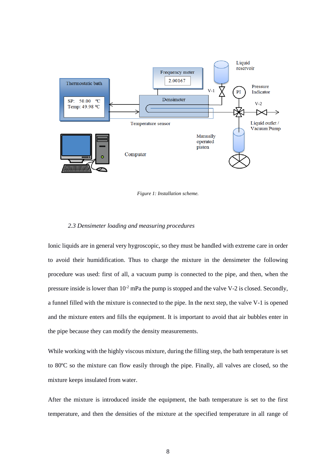



#### *2.3 Densimeter loading and measuring procedures*

Ionic liquids are in general very hygroscopic, so they must be handled with extreme care in order to avoid their humidification. Thus to charge the mixture in the densimeter the following procedure was used: first of all, a vacuum pump is connected to the pipe, and then, when the pressure inside is lower than  $10^{-2}$  mPa the pump is stopped and the valve V-2 is closed. Secondly, a funnel filled with the mixture is connected to the pipe. In the next step, the valve V-1 is opened and the mixture enters and fills the equipment. It is important to avoid that air bubbles enter in the pipe because they can modify the density measurements.

While working with the highly viscous mixture, during the filling step, the bath temperature is set to 80ºC so the mixture can flow easily through the pipe. Finally, all valves are closed, so the mixture keeps insulated from water.

After the mixture is introduced inside the equipment, the bath temperature is set to the first temperature, and then the densities of the mixture at the specified temperature in all range of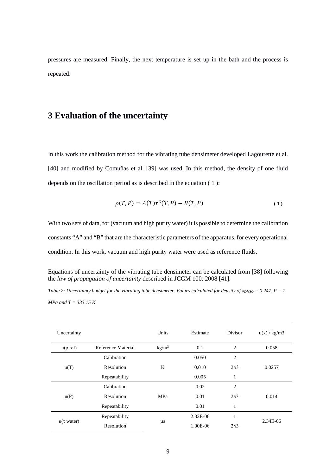pressures are measured. Finally, the next temperature is set up in the bath and the process is repeated.

### **3 Evaluation of the uncertainty**

In this work the calibration method for the vibrating tube densimeter developed Lagourette et al. [40] and modified by Comuñas et al. [39] was used. In this method, the density of one fluid depends on the oscillation period as is described in the equation [\( 1](#page-8-0) ):

<span id="page-8-0"></span>
$$
\rho(T, P) = A(T)\tau^2(T, P) - B(T, P) \tag{1}
$$

With two sets of data, for (vacuum and high purity water) it is possible to determine the calibration constants "A" and "B" that are the characteristic parameters of the apparatus, for every operational condition. In this work, vacuum and high purity water were used as reference fluids.

Equations of uncertainty of the vibrating tube densimeter can be calculated from [38] following the *law of propagation of uncertainty* described in JCGM 100: 2008 [41]*.*

<span id="page-8-1"></span>*Table 2: Uncertainty budget for the vibrating tube densimeter. Values calculated for density of*  $x_{DMSO} = 0.247$ *,*  $P = I$ *MPa and T = 333.15 K.*

| Uncertainty             |                    | Units             | Estimate | <b>Divisor</b> | u(x) / kg/m3 |
|-------------------------|--------------------|-------------------|----------|----------------|--------------|
| $u(\rho$ ref)           | Reference Material | kg/m <sup>3</sup> | 0.1      | $\overline{c}$ | 0.058        |
|                         | Calibration        |                   | 0.050    | 2              |              |
| u(T)                    | Resolution         | K                 | 0.010    | $2\sqrt{3}$    | 0.0257       |
|                         | Repeatability      |                   | 0.005    | 1              |              |
|                         | Calibration        | MPa               | 0.02     | $\overline{c}$ |              |
| u(P)                    | Resolution         |                   | 0.01     | $2\sqrt{3}$    | 0.014        |
|                         | Repeatability      |                   | 0.01     | 1              |              |
| $u(\tau \text{ water})$ | Repeatability      |                   | 2.32E-06 | 1              | 2.34E-06     |
|                         | Resolution         | μs                | 1.00E-06 | $2\sqrt{3}$    |              |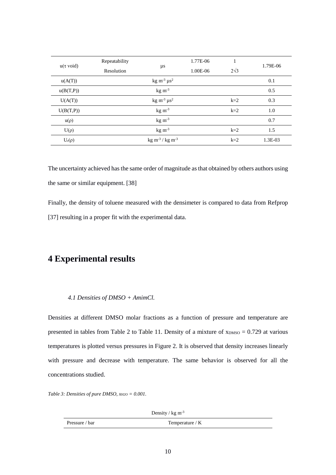| $u(\tau \text{ void})$ | Repeatability     |                                            | 1.77E-06 | 1           | 1.79E-06 |
|------------------------|-------------------|--------------------------------------------|----------|-------------|----------|
|                        | <b>Resolution</b> | $\mu s$                                    | 1.00E-06 | $2\sqrt{3}$ |          |
| u(A(T))                |                   | kg m <sup>-3</sup> $\mu$ s <sup>2</sup>    |          |             | 0.1      |
| u(B(T,P))              |                   | $kg \, \text{m}^{-3}$                      |          |             | 0.5      |
| U(A(T))                |                   | kg m <sup>-3</sup> $\mu$ s <sup>2</sup>    |          | $k=2$       | 0.3      |
| U(B(T,P))              |                   | $\text{kg m}^3$                            |          | $k=2$       | 1.0      |
| $u(\rho)$              |                   | $kg \, \text{m}^{-3}$                      |          |             | 0.7      |
| $U(\rho)$              |                   | $kg \, \text{m}^{-3}$                      |          | $k=2$       | 1.5      |
| $U_r(\rho)$            |                   | $kg \, \text{m}^{-3}$ / kg m <sup>-3</sup> |          | $k=2$       | 1.3E-03  |

The uncertainty achieved has the same order of magnitude as that obtained by others authors using the same or similar equipment. [38]

Finally, the density of toluene measured with the densimeter is compared to data from Refprop [37] resulting in a proper fit with the experimental data.

### **4 Experimental results**

#### *4.1 Densities of DMSO + AmimCl.*

Densities at different DMSO molar fractions as a function of pressure and temperature are presented in tables from [Table 2](#page-8-1) to [Table 11.](#page-14-0) Density of a mixture of  $x_{DMSO} = 0.729$  at various temperatures is plotted versus pressures in [Figure 2.](#page-15-0) It is observed that density increases linearly with pressure and decrease with temperature. The same behavior is observed for all the concentrations studied.

*Table 3: Densities of pure DMSO, xH2O = 0.001.*

Density /  $kg \, \text{m}^{-3}$ 

| Pressure | $'$ o mana o mo |
|----------|-----------------|
| bar      | Temperature / K |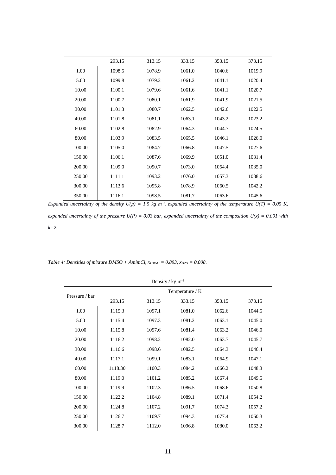|        | 293.15 | 313.15 | 333.15 | 353.15 | 373.15 |
|--------|--------|--------|--------|--------|--------|
| 1.00   | 1098.5 | 1078.9 | 1061.0 | 1040.6 | 1019.9 |
| 5.00   | 1099.8 | 1079.2 | 1061.2 | 1041.1 | 1020.4 |
| 10.00  | 1100.1 | 1079.6 | 1061.6 | 1041.1 | 1020.7 |
| 20.00  | 1100.7 | 1080.1 | 1061.9 | 1041.9 | 1021.5 |
| 30.00  | 1101.3 | 1080.7 | 1062.5 | 1042.6 | 1022.5 |
| 40.00  | 1101.8 | 1081.1 | 1063.1 | 1043.2 | 1023.2 |
| 60.00  | 1102.8 | 1082.9 | 1064.3 | 1044.7 | 1024.5 |
| 80.00  | 1103.9 | 1083.5 | 1065.5 | 1046.1 | 1026.0 |
| 100.00 | 1105.0 | 1084.7 | 1066.8 | 1047.5 | 1027.6 |
| 150.00 | 1106.1 | 1087.6 | 1069.9 | 1051.0 | 1031.4 |
| 200.00 | 1109.0 | 1090.7 | 1073.0 | 1054.4 | 1035.0 |
| 250.00 | 1111.1 | 1093.2 | 1076.0 | 1057.3 | 1038.6 |
| 300.00 | 1113.6 | 1095.8 | 1078.9 | 1060.5 | 1042.2 |
| 350.00 | 1116.1 | 1098.5 | 1081.7 | 1063.6 | 1045.6 |

*Expanded uncertainty of the density*  $U(\rho) = 1.5$  *kg m<sup>-3</sup>, expanded uncertainty of the temperature*  $U(T) = 0.05$  *K, expanded uncertainty of the pressure U(P) = 0.03 bar, expanded uncertainty of the composition U(x) = 0.001 with k=2..*

*Table 4: Densities of mixture DMSO + AmimCl,*  $x_{DMSO} = 0.893$ *,*  $x_{H2O} = 0.008$ *.* 

| Density / $kg \, \text{m}^3$ |         |        |                 |        |        |
|------------------------------|---------|--------|-----------------|--------|--------|
| Pressure / bar               |         |        | Temperature / K |        |        |
|                              | 293.15  | 313.15 | 333.15          | 353.15 | 373.15 |
| 1.00                         | 1115.3  | 1097.1 | 1081.0          | 1062.6 | 1044.5 |
| 5.00                         | 1115.4  | 1097.3 | 1081.2          | 1063.1 | 1045.0 |
| 10.00                        | 1115.8  | 1097.6 | 1081.4          | 1063.2 | 1046.0 |
| 20.00                        | 1116.2  | 1098.2 | 1082.0          | 1063.7 | 1045.7 |
| 30.00                        | 1116.6  | 1098.6 | 1082.5          | 1064.3 | 1046.4 |
| 40.00                        | 1117.1  | 1099.1 | 1083.1          | 1064.9 | 1047.1 |
| 60.00                        | 1118.30 | 1100.3 | 1084.2          | 1066.2 | 1048.3 |
| 80.00                        | 1119.0  | 1101.2 | 1085.2          | 1067.4 | 1049.5 |
| 100.00                       | 1119.9  | 1102.3 | 1086.5          | 1068.6 | 1050.8 |
| 150.00                       | 1122.2  | 1104.8 | 1089.1          | 1071.4 | 1054.2 |
| 200.00                       | 1124.8  | 1107.2 | 1091.7          | 1074.3 | 1057.2 |
| 250.00                       | 1126.7  | 1109.7 | 1094.3          | 1077.4 | 1060.3 |
| 300.00                       | 1128.7  | 1112.0 | 1096.8          | 1080.0 | 1063.2 |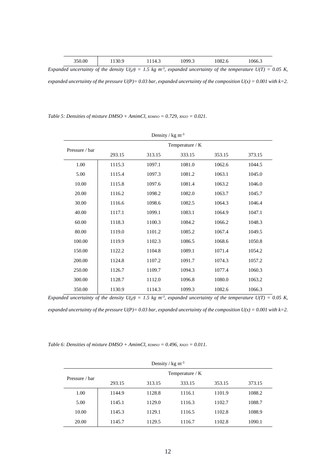| 350.00<br>1082.6<br>099.3<br>1066.3<br>30 Q<br>14.3<br>11 JU.Y<br>.v <i>, ,</i> .J |
|------------------------------------------------------------------------------------|
|------------------------------------------------------------------------------------|

*Expanded uncertainty of the density*  $U(\rho) = 1.5$  *kg m<sup>-3</sup>, expanded uncertainty of the temperature*  $U(T) = 0.05$  *K, expanded uncertainty of the pressure U(P)= 0.03 bar, expanded uncertainty of the composition U(x) = 0.001 with k=2.*

*Table 5: Densities of mixture DMSO + AmimCl, xDMSO = 0.729, xH2O = 0.021.*

| Density / $kg \, \text{m}^3$ |        |        |                 |        |        |
|------------------------------|--------|--------|-----------------|--------|--------|
| Pressure / bar               |        |        | Temperature / K |        |        |
|                              | 293.15 | 313.15 | 333.15          | 353.15 | 373.15 |
| 1.00                         | 1115.3 | 1097.1 | 1081.0          | 1062.6 | 1044.5 |
| 5.00                         | 1115.4 | 1097.3 | 1081.2          | 1063.1 | 1045.0 |
| 10.00                        | 1115.8 | 1097.6 | 1081.4          | 1063.2 | 1046.0 |
| 20.00                        | 1116.2 | 1098.2 | 1082.0          | 1063.7 | 1045.7 |
| 30.00                        | 1116.6 | 1098.6 | 1082.5          | 1064.3 | 1046.4 |
| 40.00                        | 1117.1 | 1099.1 | 1083.1          | 1064.9 | 1047.1 |
| 60.00                        | 1118.3 | 1100.3 | 1084.2          | 1066.2 | 1048.3 |
| 80.00                        | 1119.0 | 1101.2 | 1085.2          | 1067.4 | 1049.5 |
| 100.00                       | 1119.9 | 1102.3 | 1086.5          | 1068.6 | 1050.8 |
| 150.00                       | 1122.2 | 1104.8 | 1089.1          | 1071.4 | 1054.2 |
| 200.00                       | 1124.8 | 1107.2 | 1091.7          | 1074.3 | 1057.2 |
| 250.00                       | 1126.7 | 1109.7 | 1094.3          | 1077.4 | 1060.3 |
| 300.00                       | 1128.7 | 1112.0 | 1096.8          | 1080.0 | 1063.2 |
| 350.00                       | 1130.9 | 1114.3 | 1099.3          | 1082.6 | 1066.3 |

*Expanded uncertainty of the density*  $U(\rho) = 1.5$  *kg m<sup>-3</sup>, expanded uncertainty of the temperature*  $U(T) = 0.05$  *K,* 

*expanded uncertainty of the pressure U(P)= 0.03 bar, expanded uncertainty of the composition U(x) = 0.001 with k=2.*

*Table 6: Densities of mixture DMSO + AmimCl,*  $x_{DMSO} = 0.496$ *,*  $x_{H2O} = 0.011$ *.* 

| Density / $\text{kg m}^3$ |        |                 |        |        |        |  |
|---------------------------|--------|-----------------|--------|--------|--------|--|
| Pressure / bar            |        | Temperature / K |        |        |        |  |
|                           | 293.15 | 313.15          | 333.15 | 353.15 | 373.15 |  |
| 1.00                      | 1144.9 | 1128.8          | 1116.1 | 1101.9 | 1088.2 |  |
| 5.00                      | 1145.1 | 1129.0          | 1116.3 | 1102.7 | 1088.7 |  |
| 10.00                     | 1145.3 | 1129.1          | 1116.5 | 1102.8 | 1088.9 |  |
| 20.00                     | 1145.7 | 1129.5          | 1116.7 | 1102.8 | 1090.1 |  |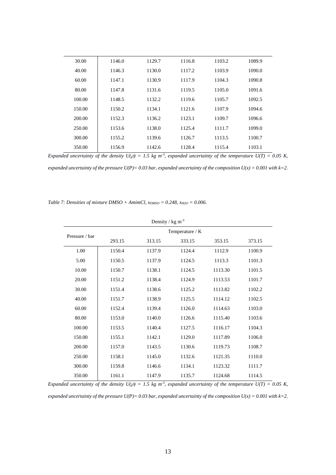| 30.00  | 1146.0 | 1129.7 | 1116.8 | 1103.2 | 1089.9 |
|--------|--------|--------|--------|--------|--------|
| 40.00  | 1146.3 | 1130.0 | 1117.2 | 1103.9 | 1090.0 |
| 60.00  | 1147.1 | 1130.9 | 1117.9 | 1104.3 | 1090.8 |
| 80.00  | 1147.8 | 1131.6 | 1119.5 | 1105.0 | 1091.6 |
| 100.00 | 1148.5 | 1132.2 | 1119.6 | 1105.7 | 1092.5 |
| 150.00 | 1150.2 | 1134.1 | 1121.6 | 1107.9 | 1094.6 |
| 200.00 | 1152.3 | 1136.2 | 1123.1 | 1109.7 | 1096.6 |
| 250.00 | 1153.6 | 1138.0 | 1125.4 | 1111.7 | 1099.0 |
| 300.00 | 1155.2 | 1139.6 | 1126.7 | 1113.5 | 1100.7 |
| 350.00 | 1156.9 | 1142.6 | 1128.4 | 1115.4 | 1103.1 |

*Expanded uncertainty of the density*  $U(\rho) = 1.5$  *kg m<sup>-3</sup>, expanded uncertainty of the temperature*  $U(T) = 0.05$  *K,* 

*expanded uncertainty of the pressure U(P)= 0.03 bar, expanded uncertainty of the composition U(x) = 0.001 with k=2.*

*Table 7: Densities of mixture DMSO + AmimCl,*  $x_{DMSO} = 0.248$ *,*  $x_{H2O} = 0.006$ *.* 

| Density / $kg \, \text{m}^{-3}$ |        |        |                 |         |        |
|---------------------------------|--------|--------|-----------------|---------|--------|
| Pressure / bar                  |        |        | Temperature / K |         |        |
|                                 | 293.15 | 313.15 | 333.15          | 353.15  | 373.15 |
| 1.00                            | 1150.4 | 1137.9 | 1124.4          | 1112.9  | 1100.9 |
| 5.00                            | 1150.5 | 1137.9 | 1124.5          | 1113.3  | 1101.3 |
| 10.00                           | 1150.7 | 1138.1 | 1124.5          | 1113.30 | 1101.5 |
| 20.00                           | 1151.2 | 1138.4 | 1124.9          | 1113.53 | 1101.7 |
| 30.00                           | 1151.4 | 1138.6 | 1125.2          | 1113.82 | 1102.2 |
| 40.00                           | 1151.7 | 1138.9 | 1125.5          | 1114.12 | 1102.5 |
| 60.00                           | 1152.4 | 1139.4 | 1126.0          | 1114.63 | 1103.0 |
| 80.00                           | 1153.0 | 1140.0 | 1126.6          | 1115.40 | 1103.6 |
| 100.00                          | 1153.5 | 1140.4 | 1127.5          | 1116.17 | 1104.3 |
| 150.00                          | 1155.1 | 1142.1 | 1129.0          | 1117.89 | 1106.0 |
| 200.00                          | 1157.0 | 1143.5 | 1130.6          | 1119.73 | 1108.7 |
| 250.00                          | 1158.1 | 1145.0 | 1132.6          | 1121.35 | 1110.0 |
| 300.00                          | 1159.8 | 1146.6 | 1134.1          | 1123.32 | 1111.7 |
| 350.00                          | 1161.1 | 1147.9 | 1135.7          | 1124.68 | 1114.5 |

*Expanded uncertainty of the density*  $U(\rho) = 1.5$  *kg m<sup>-3</sup>, expanded uncertainty of the temperature*  $U(T) = 0.05$  *K,* 

*expanded uncertainty of the pressure U(P)= 0.03 bar, expanded uncertainty of the composition U(x) = 0.001 with k=2.*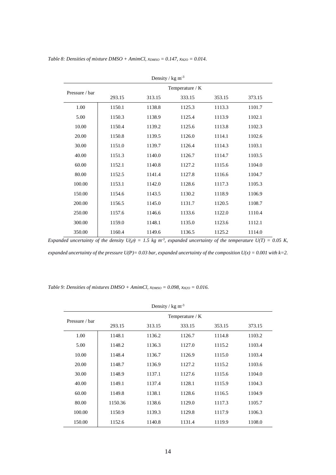| Density / $kg \, \text{m}^3$ |        |                 |        |        |        |  |
|------------------------------|--------|-----------------|--------|--------|--------|--|
|                              |        | Temperature / K |        |        |        |  |
| Pressure / bar               | 293.15 | 313.15          | 333.15 | 353.15 | 373.15 |  |
| 1.00                         | 1150.1 | 1138.8          | 1125.3 | 1113.3 | 1101.7 |  |
| 5.00                         | 1150.3 | 1138.9          | 1125.4 | 1113.9 | 1102.1 |  |
| 10.00                        | 1150.4 | 1139.2          | 1125.6 | 1113.8 | 1102.3 |  |
| 20.00                        | 1150.8 | 1139.5          | 1126.0 | 1114.1 | 1102.6 |  |
| 30.00                        | 1151.0 | 1139.7          | 1126.4 | 1114.3 | 1103.1 |  |
| 40.00                        | 1151.3 | 1140.0          | 1126.7 | 1114.7 | 1103.5 |  |
| 60.00                        | 1152.1 | 1140.8          | 1127.2 | 1115.6 | 1104.0 |  |
| 80.00                        | 1152.5 | 1141.4          | 1127.8 | 1116.6 | 1104.7 |  |
| 100.00                       | 1153.1 | 1142.0          | 1128.6 | 1117.3 | 1105.3 |  |
| 150.00                       | 1154.6 | 1143.5          | 1130.2 | 1118.9 | 1106.9 |  |
| 200.00                       | 1156.5 | 1145.0          | 1131.7 | 1120.5 | 1108.7 |  |
| 250.00                       | 1157.6 | 1146.6          | 1133.6 | 1122.0 | 1110.4 |  |
| 300.00                       | 1159.0 | 1148.1          | 1135.0 | 1123.6 | 1112.1 |  |
| 350.00                       | 1160.4 | 1149.6          | 1136.5 | 1125.2 | 1114.0 |  |

*Table 8: Densities of mixture DMSO + AmimCl,*  $x_{DMSO} = 0.147$ *,*  $x_{H2O} = 0.014$ *.* 

*Expanded uncertainty of the density*  $U(\rho) = 1.5$  *kg m<sup>-3</sup>, expanded uncertainty of the temperature*  $U(T) = 0.05$  *K, expanded uncertainty of the pressure U(P)= 0.03 bar, expanded uncertainty of the composition U(x) = 0.001 with k=2.*

*Table 9: Densities of mixtures DMSO + AmimCl, xDMSO = 0.098, xH2O = 0.016.*

| Density / $kg \, \text{m}^{-3}$ |                 |        |        |        |        |  |
|---------------------------------|-----------------|--------|--------|--------|--------|--|
| Pressure / bar                  | Temperature / K |        |        |        |        |  |
|                                 | 293.15          | 313.15 | 333.15 | 353.15 | 373.15 |  |
| 1.00                            | 1148.1          | 1136.2 | 1126.7 | 1114.8 | 1103.2 |  |
| 5.00                            | 1148.2          | 1136.3 | 1127.0 | 1115.2 | 1103.4 |  |
| 10.00                           | 1148.4          | 1136.7 | 1126.9 | 1115.0 | 1103.4 |  |
| 20.00                           | 1148.7          | 1136.9 | 1127.2 | 1115.2 | 1103.6 |  |
| 30.00                           | 1148.9          | 1137.1 | 1127.6 | 1115.6 | 1104.0 |  |
| 40.00                           | 1149.1          | 1137.4 | 1128.1 | 1115.9 | 1104.3 |  |
| 60.00                           | 1149.8          | 1138.1 | 1128.6 | 1116.5 | 1104.9 |  |
| 80.00                           | 1150.36         | 1138.6 | 1129.0 | 1117.3 | 1105.7 |  |
| 100.00                          | 1150.9          | 1139.3 | 1129.8 | 1117.9 | 1106.3 |  |
| 150.00                          | 1152.6          | 1140.8 | 1131.4 | 1119.9 | 1108.0 |  |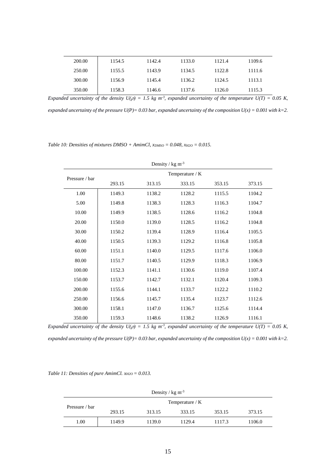| 200.00 | 1154.5 | 1142.4 | 1133.0 | 1121.4 | 1109.6 |
|--------|--------|--------|--------|--------|--------|
| 250.00 | 1155.5 | 1143.9 | 1134.5 | 1122.8 | 1111.6 |
| 300.00 | 1156.9 | 1145.4 | 1136.2 | 1124.5 | 1113.1 |
| 350.00 | 1158.3 | 1146.6 | 1137.6 | 1126.0 | 1115.3 |

*Expanded uncertainty of the density*  $U(\rho) = 1.5$  *kg m<sup>-3</sup>, expanded uncertainty of the temperature*  $U(T) = 0.05$  *K,* 

*expanded uncertainty of the pressure U(P)= 0.03 bar, expanded uncertainty of the composition U(x) = 0.001 with k=2.*

*Table 10: Densities of mixtures DMSO + AmimCl, xDMSO = 0.048, xH2O = 0.015.*

| Density / $kg \, \text{m}^{-3}$ |        |                 |        |        |        |  |
|---------------------------------|--------|-----------------|--------|--------|--------|--|
| Pressure / bar                  |        | Temperature / K |        |        |        |  |
|                                 | 293.15 | 313.15          | 333.15 | 353.15 | 373.15 |  |
| 1.00                            | 1149.3 | 1138.2          | 1128.2 | 1115.5 | 1104.2 |  |
| 5.00                            | 1149.8 | 1138.3          | 1128.3 | 1116.3 | 1104.7 |  |
| 10.00                           | 1149.9 | 1138.5          | 1128.6 | 1116.2 | 1104.8 |  |
| 20.00                           | 1150.0 | 1139.0          | 1128.5 | 1116.2 | 1104.8 |  |
| 30.00                           | 1150.2 | 1139.4          | 1128.9 | 1116.4 | 1105.5 |  |
| 40.00                           | 1150.5 | 1139.3          | 1129.2 | 1116.8 | 1105.8 |  |
| 60.00                           | 1151.1 | 1140.0          | 1129.5 | 1117.6 | 1106.0 |  |
| 80.00                           | 1151.7 | 1140.5          | 1129.9 | 1118.3 | 1106.9 |  |
| 100.00                          | 1152.3 | 1141.1          | 1130.6 | 1119.0 | 1107.4 |  |
| 150.00                          | 1153.7 | 1142.7          | 1132.1 | 1120.4 | 1109.3 |  |
| 200.00                          | 1155.6 | 1144.1          | 1133.7 | 1122.2 | 1110.2 |  |
| 250.00                          | 1156.6 | 1145.7          | 1135.4 | 1123.7 | 1112.6 |  |
| 300.00                          | 1158.1 | 1147.0          | 1136.7 | 1125.6 | 1114.4 |  |
| 350.00                          | 1159.3 | 1148.6          | 1138.2 | 1126.9 | 1116.1 |  |

*Expanded uncertainty of the density*  $U(\rho) = 1.5$  *kg m<sup>-3</sup>, expanded uncertainty of the temperature*  $U(T) = 0.05$  *K,* 

*expanded uncertainty of the pressure U(P)= 0.03 bar, expanded uncertainty of the composition U(x) = 0.001 with k=2.*

<span id="page-14-0"></span>*Table 11: Densities of pure AmimCl.*  $x_{H2O} = 0.013$ *.* 

| Density / $\text{kg m}^3$ |                 |        |        |        |        |  |
|---------------------------|-----------------|--------|--------|--------|--------|--|
| Pressure / bar            | Temperature / K |        |        |        |        |  |
|                           | 293.15          | 313.15 | 333.15 | 353.15 | 373.15 |  |
| 1.00                      | 1149.9          | 1139.0 | 1129.4 | 1117.3 | 1106.0 |  |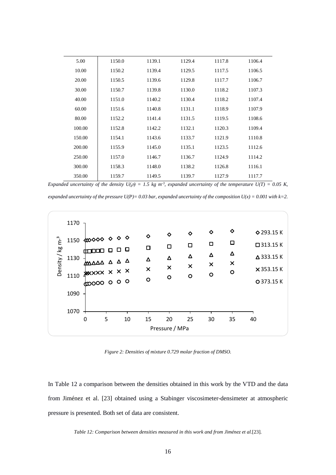| 5.00   | 1150.0 | 1139.1 | 1129.4 | 1117.8 | 1106.4 |
|--------|--------|--------|--------|--------|--------|
| 10.00  | 1150.2 | 1139.4 | 1129.5 | 1117.5 | 1106.5 |
| 20.00  | 1150.5 | 1139.6 | 1129.8 | 1117.7 | 1106.7 |
| 30.00  | 1150.7 | 1139.8 | 1130.0 | 1118.2 | 1107.3 |
| 40.00  | 1151.0 | 1140.2 | 1130.4 | 1118.2 | 1107.4 |
| 60.00  | 1151.6 | 1140.8 | 1131.1 | 1118.9 | 1107.9 |
| 80.00  | 1152.2 | 1141.4 | 1131.5 | 1119.5 | 1108.6 |
| 100.00 | 1152.8 | 1142.2 | 1132.1 | 1120.3 | 1109.4 |
| 150.00 | 1154.1 | 1143.6 | 1133.7 | 1121.9 | 1110.8 |
| 200.00 | 1155.9 | 1145.0 | 1135.1 | 1123.5 | 1112.6 |
| 250.00 | 1157.0 | 1146.7 | 1136.7 | 1124.9 | 1114.2 |
| 300.00 | 1158.3 | 1148.0 | 1138.2 | 1126.8 | 1116.1 |
| 350.00 | 1159.7 | 1149.5 | 1139.7 | 1127.9 | 1117.7 |

*Expanded uncertainty of the density*  $U(\rho) = 1.5$  *kg m<sup>-3</sup>, expanded uncertainty of the temperature*  $U(T) = 0.05$  *K,* 

*expanded uncertainty of the pressure*  $U(P) = 0.03$  *bar, expanded uncertainty of the composition*  $U(x) = 0.001$  *with k=2.* 



*Figure 2: Densities of mixture 0.729 molar fraction of DMSO.*

<span id="page-15-0"></span>In [Table 12](#page-15-1) a comparison between the densities obtained in this work by the VTD and the data from Jiménez et al. [23] obtained using a Stabinger viscosimeter-densimeter at atmospheric pressure is presented. Both set of data are consistent.

<span id="page-15-1"></span>*Table 12: Comparison between densities measured in this work and from Jiménez et al.*[23]*.*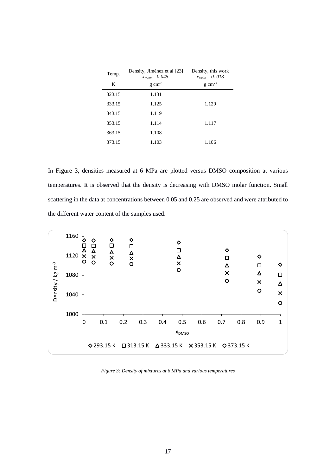| Temp.  | Density, Jiménez et al [23]<br>$x_{water} = 0.045$ . | Density, this work<br>$x_{water} = 0.013$ |
|--------|------------------------------------------------------|-------------------------------------------|
| K      | $g \text{ cm}^{-3}$                                  | $g \text{ cm}^{-3}$                       |
| 323.15 | 1.131                                                |                                           |
| 333.15 | 1.125                                                | 1.129                                     |
| 343.15 | 1.119                                                |                                           |
| 353.15 | 1.114                                                | 1.117                                     |
| 363.15 | 1.108                                                |                                           |
| 373.15 | 1.103                                                | 1.106                                     |

In [Figure 3,](#page-16-0) densities measured at 6 MPa are plotted versus DMSO composition at various temperatures. It is observed that the density is decreasing with DMSO molar function. Small scattering in the data at concentrations between 0.05 and 0.25 are observed and were attributed to the different water content of the samples used.



<span id="page-16-0"></span>*Figure 3: Density of mixtures at 6 MPa and various temperatures*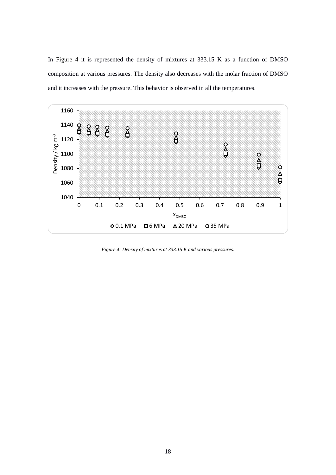In [Figure 4](#page-17-0) it is represented the density of mixtures at 333.15 K as a function of DMSO composition at various pressures. The density also decreases with the molar fraction of DMSO and it increases with the pressure. This behavior is observed in all the temperatures.



<span id="page-17-0"></span>*Figure 4: Density of mixtures at 333.15 K and various pressures.*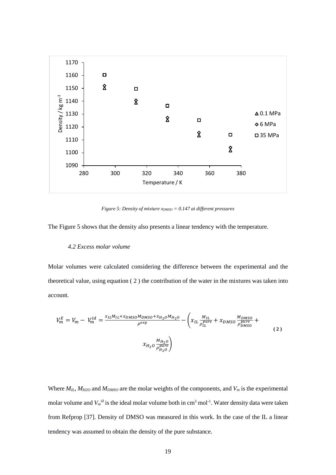

<span id="page-18-1"></span>*Figure 5: Density of mixture xDMSO = 0.147 at different pressures*

<span id="page-18-0"></span>The [Figure 5](#page-18-0) shows that the density also presents a linear tendency with the temperature.

#### *4.2 Excess molar volume*

Molar volumes were calculated considering the difference between the experimental and the theoretical value, using equation [\( 2](#page-18-1) ) the contribution of the water in the mixtures was taken into account.

$$
V_m^E = V_m - V_m^{id} = \frac{x_{IL}M_{IL} + x_{DMSO}M_{DMSO} + x_{H_2O}M_{H_2O}}{\rho^{exp}} - \left(x_{IL}\frac{M_{IL}}{\rho_{IL}^{pure}} + x_{DMSO}\frac{M_{DMSO}}{\rho_{DMSO}^{pure}} + \frac{x_{H_2O}}{\rho_{MMSO}^{pure}}\right)
$$
(2)

Where  $M_{IL}$ ,  $M_{H2O}$  and  $M_{DMSO}$  are the molar weights of the components, and  $V_m$  is the experimental molar volume and  $V_m$ <sup>*id*</sup> is the ideal molar volume both in cm<sup>3</sup> mol<sup>-1</sup>. Water density data were taken from Refprop [37]. Density of DMSO was measured in this work. In the case of the IL a linear tendency was assumed to obtain the density of the pure substance.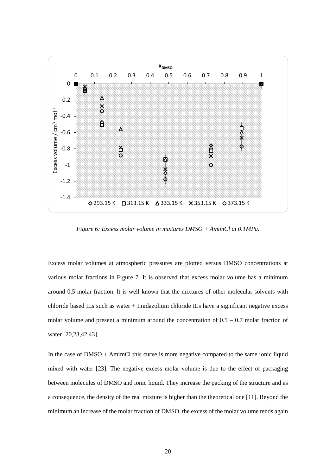

*Figure 6: Excess molar volume in mixtures DMSO + AmimCl at 0.1MPa.* 

Excess molar volumes at atmospheric pressures are plotted versus DMSO concentrations at various molar fractions in [Figure 7.](#page-21-0) It is observed that excess molar volume has a minimum around 0.5 molar fraction. It is well known that the mixtures of other molecular solvents with chloride based ILs such as water + Imidazolium chloride ILs have a significant negative excess molar volume and present a minimum around the concentration of  $0.5 - 0.7$  molar fraction of water [20,23,42,43].

In the case of DMSO + AmimCl this curve is more negative compared to the same ionic liquid mixed with water [23]. The negative excess molar volume is due to the effect of packaging between molecules of DMSO and ionic liquid. They increase the packing of the structure and as a consequence, the density of the real mixture is higher than the theoretical one [11]. Beyond the minimum an increase of the molar fraction of DMSO, the excess of the molar volume tends again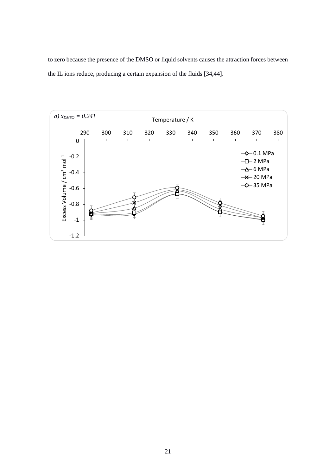to zero because the presence of the DMSO or liquid solvents causes the attraction forces between the IL ions reduce, producing a certain expansion of the fluids [34,44].

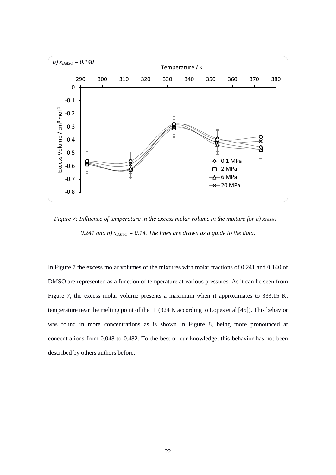

<span id="page-21-0"></span>*Figure 7: Influence of temperature in the excess molar volume in the mixture for a) x<sub>DMSO</sub>* = 0.241 and b)  $x_{DMSO} = 0.14$ . The lines are drawn as a guide to the data.

In [Figure 7](#page-21-0) the excess molar volumes of the mixtures with molar fractions of 0.241 and 0.140 of DMSO are represented as a function of temperature at various pressures. As it can be seen from [Figure 7,](#page-21-0) the excess molar volume presents a maximum when it approximates to 333.15 K, temperature near the melting point of the IL (324 K according to Lopes et al [45]). This behavior was found in more concentrations as is shown in [Figure 8,](#page-22-0) being more pronounced at concentrations from 0.048 to 0.482. To the best or our knowledge, this behavior has not been described by others authors before.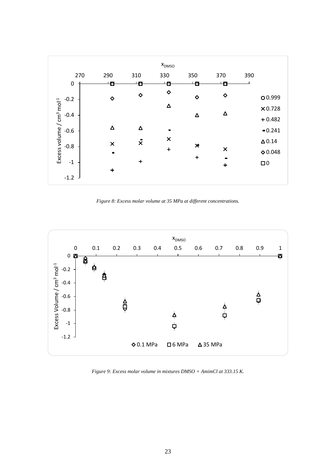

*Figure 8: Excess molar volume at 35 MPa at different concentrations.*

<span id="page-22-0"></span>

<span id="page-22-1"></span>*Figure 9: Excess molar volume in mixtures DMSO + AmimCl at 333.15 K.*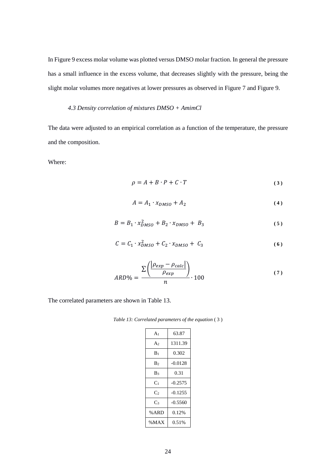I[n Figure 9](#page-22-1) excess molar volume was plotted versus DMSO molar fraction. In general the pressure has a small influence in the excess volume, that decreases slightly with the pressure, being the slight molar volumes more negatives at lower pressures as observed in [Figure 7](#page-21-0) and [Figure 9.](#page-22-1)

#### *4.3 Density correlation of mixtures DMSO + AmimCl*

The data were adjusted to an empirical correlation as a function of the temperature, the pressure and the composition.

Where:

<span id="page-23-1"></span>
$$
\rho = A + B \cdot P + C \cdot T \tag{3}
$$

$$
A = A_1 \cdot x_{DMSO} + A_2 \tag{4}
$$

$$
B = B_1 \cdot x_{DMSO}^2 + B_2 \cdot x_{DMSO} + B_3 \tag{5}
$$

$$
C = C_1 \cdot x_{DMSO}^2 + C_2 \cdot x_{DMSO} + C_3 \tag{6}
$$

$$
ARD\% = \frac{\sum \left( \frac{|\rho_{exp} - \rho_{calc}|}{\rho_{exp}} \right)}{n} \cdot 100 \tag{7}
$$

<span id="page-23-0"></span>The correlated parameters are shown in [Table 13.](#page-23-0)

*Table 13: Correlated parameters of the equation* [\( 3](#page-23-1) )

| A <sub>1</sub> | 63.87     |
|----------------|-----------|
| A <sub>2</sub> | 1311.39   |
| $\rm{B}_{1}$   | 0.302     |
| B۶             | $-0.0128$ |
| B3             | 0.31      |
| C <sub>1</sub> | $-0.2575$ |
| Cэ             | $-0.1255$ |
| $C_3$          | $-0.5560$ |
| % ARD          | 0.12%     |
| %MAX           | 0.51%     |
|                |           |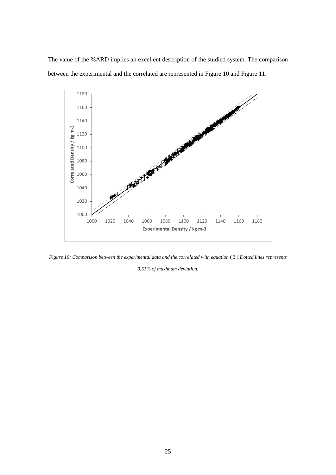The value of the %ARD implies an excellent description of the studied system. The comparison between the experimental and the correlated are represented in [Figure 10](#page-24-0) and [Figure 11.](#page-25-0)



<span id="page-24-0"></span>*Figure 10: Comparison between the experimental data and the correlated with equation* [\( 3](#page-23-1) )*.Dotted lines represents* 

*0.51% of maximum deviation.*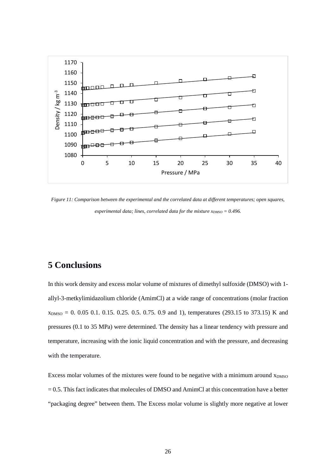

<span id="page-25-0"></span>*Figure 11: Comparison between the experimental and the correlated data at different temperatures; open squares, experimental data; lines, correlated data for the mixture*  $x_{DMSO} = 0.496$ *.* 

## **5 Conclusions**

In this work density and excess molar volume of mixtures of dimethyl sulfoxide (DMSO) with 1 allyl-3-metkylimidazolium chloride (AmimCl) at a wide range of concentrations (molar fraction  $x<sub>DMSO</sub> = 0. 0.05 0.1. 0.15. 0.25. 0.5. 0.75. 0.9$  and 1), temperatures (293.15 to 373.15) K and pressures (0.1 to 35 MPa) were determined. The density has a linear tendency with pressure and temperature, increasing with the ionic liquid concentration and with the pressure, and decreasing with the temperature.

Excess molar volumes of the mixtures were found to be negative with a minimum around  $x_{DMSO}$ = 0.5. This fact indicates that molecules of DMSO and AmimCl at this concentration have a better "packaging degree" between them. The Excess molar volume is slightly more negative at lower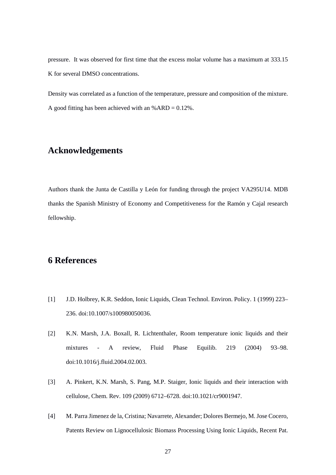pressure. It was observed for first time that the excess molar volume has a maximum at 333.15 K for several DMSO concentrations.

Density was correlated as a function of the temperature, pressure and composition of the mixture. A good fitting has been achieved with an  $% ARD = 0.12\%$ .

### **Acknowledgements**

Authors thank the Junta de Castilla y León for funding through the project VA295U14. MDB thanks the Spanish Ministry of Economy and Competitiveness for the Ramón y Cajal research fellowship.

### **6 References**

- [1] J.D. Holbrey, K.R. Seddon, Ionic Liquids, Clean Technol. Environ. Policy. 1 (1999) 223– 236. doi:10.1007/s100980050036.
- [2] K.N. Marsh, J.A. Boxall, R. Lichtenthaler, Room temperature ionic liquids and their mixtures - A review, Fluid Phase Equilib. 219 (2004) 93–98. doi:10.1016/j.fluid.2004.02.003.
- [3] A. Pinkert, K.N. Marsh, S. Pang, M.P. Staiger, Ionic liquids and their interaction with cellulose, Chem. Rev. 109 (2009) 6712–6728. doi:10.1021/cr9001947.
- [4] M. Parra Jimenez de la, Cristina; Navarrete, Alexander; Dolores Bermejo, M. Jose Cocero, Patents Review on Lignocellulosic Biomass Processing Using Ionic Liquids, Recent Pat.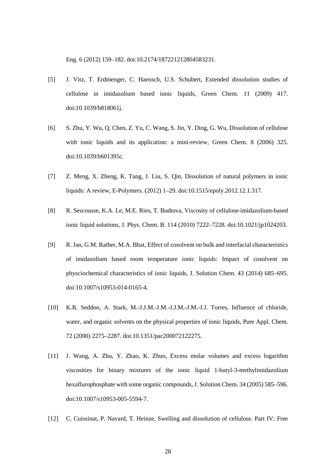Eng. 6 (2012) 159–182. doi:10.2174/187221212804583231.

- [5] J. Vitz, T. Erdmenger, C. Haensch, U.S. Schubert, Extended dissolution studies of cellulose in imidazolium based ionic liquids, Green Chem. 11 (2009) 417. doi:10.1039/b818061j.
- [6] S. Zhu, Y. Wu, Q. Chen, Z. Yu, C. Wang, S. Jin, Y. Ding, G. Wu, Dissolution of cellulose with ionic liquids and its application: a mini-review, Green Chem. 8 (2006) 325. doi:10.1039/b601395c.
- [7] Z. Meng, X. Zheng, K. Tang, J. Liu, S. Qin, Dissolution of natural polymers in ionic liquids: A review, E-Polymers. (2012) 1–29. doi:10.1515/epoly.2012.12.1.317.
- [8] R. Sescousse, K.A. Le, M.E. Ries, T. Budtova, Viscosity of cellulose-imidazolium-based ionic liquid solutions, J. Phys. Chem. B. 114 (2010) 7222–7228. doi:10.1021/jp1024203.
- [9] R. Jan, G.M. Rather, M.A. Bhat, Effect of cosolvent on bulk and interfacial characteristics of imidazolium based room temperature ionic liquids: Impact of cosolvent on physciochemical characteristics of ionic liquids, J. Solution Chem. 43 (2014) 685–695. doi:10.1007/s10953-014-0165-4.
- [10] K.R. Seddon, A. Stark, M.-J.J.M.-J.M.-J.J.M.-J.M.-J.J. Torres, Influence of chloride, water, and organic solvents on the physical properties of ionic liquids, Pure Appl. Chem. 72 (2000) 2275–2287. doi:10.1351/pac200072122275.
- [11] J. Wang, A. Zhu, Y. Zhao, K. Zhuo, Excess molar volumes and excess logarithm viscosities for binary mixtures of the ionic liquid 1-butyl-3-methylimidazolium hexaflurophosphate with some organic compounds, J. Solution Chem. 34 (2005) 585–596. doi:10.1007/s10953-005-5594-7.
- [12] C. Cuissinat, P. Navard, T. Heinze, Swelling and dissolution of cellulose. Part IV: Free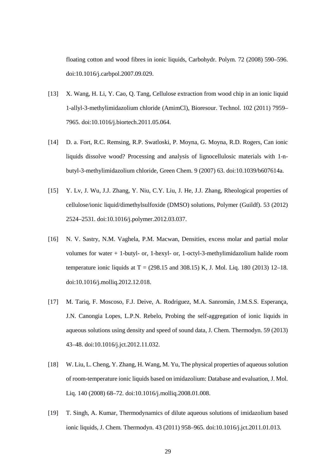floating cotton and wood fibres in ionic liquids, Carbohydr. Polym. 72 (2008) 590–596. doi:10.1016/j.carbpol.2007.09.029.

- [13] X. Wang, H. Li, Y. Cao, Q. Tang, Cellulose extraction from wood chip in an ionic liquid 1-allyl-3-methylimidazolium chloride (AmimCl), Bioresour. Technol. 102 (2011) 7959– 7965. doi:10.1016/j.biortech.2011.05.064.
- [14] D. a. Fort, R.C. Remsing, R.P. Swatloski, P. Moyna, G. Moyna, R.D. Rogers, Can ionic liquids dissolve wood? Processing and analysis of lignocellulosic materials with 1-nbutyl-3-methylimidazolium chloride, Green Chem. 9 (2007) 63. doi:10.1039/b607614a.
- [15] Y. Lv, J. Wu, J.J. Zhang, Y. Niu, C.Y. Liu, J. He, J.J. Zhang, Rheological properties of cellulose/ionic liquid/dimethylsulfoxide (DMSO) solutions, Polymer (Guildf). 53 (2012) 2524–2531. doi:10.1016/j.polymer.2012.03.037.
- [16] N. V. Sastry, N.M. Vaghela, P.M. Macwan, Densities, excess molar and partial molar volumes for water + 1-butyl- or, 1-hexyl- or, 1-octyl-3-methylimidazolium halide room temperature ionic liquids at  $T = (298.15 \text{ and } 308.15) \text{ K}$ , J. Mol. Liq. 180 (2013) 12–18. doi:10.1016/j.molliq.2012.12.018.
- [17] M. Tariq, F. Moscoso, F.J. Deive, A. Rodriguez, M.A. Sanromán, J.M.S.S. Esperança, J.N. Canongia Lopes, L.P.N. Rebelo, Probing the self-aggregation of ionic liquids in aqueous solutions using density and speed of sound data, J. Chem. Thermodyn. 59 (2013) 43–48. doi:10.1016/j.jct.2012.11.032.
- [18] W. Liu, L. Cheng, Y. Zhang, H. Wang, M. Yu, The physical properties of aqueous solution of room-temperature ionic liquids based on imidazolium: Database and evaluation, J. Mol. Liq. 140 (2008) 68–72. doi:10.1016/j.molliq.2008.01.008.
- [19] T. Singh, A. Kumar, Thermodynamics of dilute aqueous solutions of imidazolium based ionic liquids, J. Chem. Thermodyn. 43 (2011) 958–965. doi:10.1016/j.jct.2011.01.013.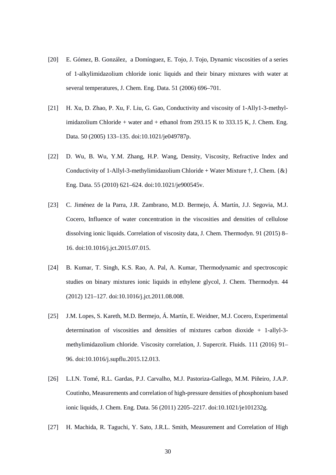- [20] E. Gómez, B. González, a Domínguez, E. Tojo, J. Tojo, Dynamic viscosities of a series of 1-alkylimidazolium chloride ionic liquids and their binary mixtures with water at several temperatures, J. Chem. Eng. Data. 51 (2006) 696–701.
- [21] H. Xu, D. Zhao, P. Xu, F. Liu, G. Gao, Conductivity and viscosity of 1-Ally1-3-methylimidazolium Chloride + water and + ethanol from 293.15 K to 333.15 K, J. Chem. Eng. Data. 50 (2005) 133–135. doi:10.1021/je049787p.
- [22] D. Wu, B. Wu, Y.M. Zhang, H.P. Wang, Density, Viscosity, Refractive Index and Conductivity of 1-Allyl-3-methylimidazolium Chloride + Water Mixture  $\dagger$ , J. Chem. {&} Eng. Data. 55 (2010) 621–624. doi:10.1021/je900545v.
- [23] C. Jiménez de la Parra, J.R. Zambrano, M.D. Bermejo, Á. Martín, J.J. Segovia, M.J. Cocero, Influence of water concentration in the viscosities and densities of cellulose dissolving ionic liquids. Correlation of viscosity data, J. Chem. Thermodyn. 91 (2015) 8– 16. doi:10.1016/j.jct.2015.07.015.
- [24] B. Kumar, T. Singh, K.S. Rao, A. Pal, A. Kumar, Thermodynamic and spectroscopic studies on binary mixtures ionic liquids in ethylene glycol, J. Chem. Thermodyn. 44 (2012) 121–127. doi:10.1016/j.jct.2011.08.008.
- [25] J.M. Lopes, S. Kareth, M.D. Bermejo, Á. Martín, E. Weidner, M.J. Cocero, Experimental determination of viscosities and densities of mixtures carbon dioxide + 1-allyl-3 methylimidazolium chloride. Viscosity correlation, J. Supercrit. Fluids. 111 (2016) 91– 96. doi:10.1016/j.supflu.2015.12.013.
- [26] L.I.N. Tomé, R.L. Gardas, P.J. Carvalho, M.J. Pastoriza-Gallego, M.M. Piñeiro, J.A.P. Coutinho, Measurements and correlation of high-pressure densities of phosphonium based ionic liquids, J. Chem. Eng. Data. 56 (2011) 2205–2217. doi:10.1021/je101232g.
- [27] H. Machida, R. Taguchi, Y. Sato, J.R.L. Smith, Measurement and Correlation of High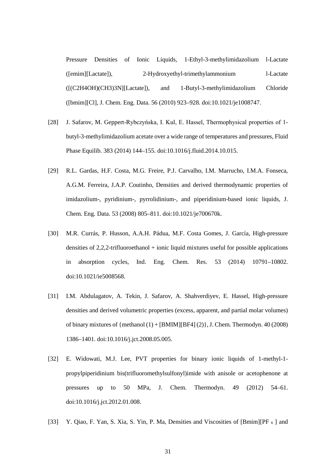Pressure Densities of Ionic Liquids, 1-Ethyl-3-methylimidazolium l-Lactate ([emim][Lactate]), 2-Hydroxyethyl-trimethylammonium l-Lactate ([(C2H4OH)(CH3)3N][Lactate]), and 1-Butyl-3-methylimidazolium Chloride ([bmim][Cl], J. Chem. Eng. Data. 56 (2010) 923–928. doi:10.1021/je1008747.

- [28] J. Safarov, M. Geppert-Rybczyńska, I. Kul, E. Hassel, Thermophysical properties of 1 butyl-3-methylimidazolium acetate over a wide range of temperatures and pressures, Fluid Phase Equilib. 383 (2014) 144–155. doi:10.1016/j.fluid.2014.10.015.
- [29] R.L. Gardas, H.F. Costa, M.G. Freire, P.J. Carvalho, I.M. Marrucho, I.M.A. Fonseca, A.G.M. Ferreira, J.A.P. Coutinho, Densities and derived thermodynamic properties of imidazolium-, pyridinium-, pyrrolidinium-, and piperidinium-based ionic liquids, J. Chem. Eng. Data. 53 (2008) 805–811. doi:10.1021/je700670k.
- [30] M.R. Currás, P. Husson, A.A.H. Pádua, M.F. Costa Gomes, J. García, High-pressure densities of 2,2,2-trifluoroethanol + ionic liquid mixtures useful for possible applications in absorption cycles, Ind. Eng. Chem. Res. 53 (2014) 10791–10802. doi:10.1021/ie5008568.
- [31] I.M. Abdulagatov, A. Tekin, J. Safarov, A. Shahverdiyev, E. Hassel, High-pressure densities and derived volumetric properties (excess, apparent, and partial molar volumes) of binary mixtures of {methanol  $(1) + [BMIM][BF4](2)$ }, J. Chem. Thermodyn. 40 (2008) 1386–1401. doi:10.1016/j.jct.2008.05.005.
- [32] E. Widowati, M.J. Lee, PVT properties for binary ionic liquids of 1-methyl-1 propylpiperidinium bis(trifluoromethylsulfonyl)imide with anisole or acetophenone at pressures up to 50 MPa, J. Chem. Thermodyn. 49 (2012) 54–61. doi:10.1016/j.jct.2012.01.008.
- [33] Y. Qiao, F. Yan, S. Xia, S. Yin, P. Ma, Densities and Viscosities of [Bmim][PF  $_6$  ] and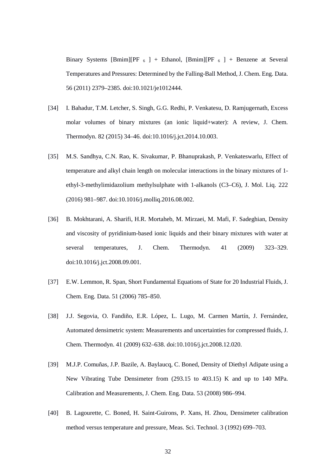Binary Systems [Bmim][PF  $_6$  ] + Ethanol, [Bmim][PF  $_6$  ] + Benzene at Several Temperatures and Pressures: Determined by the Falling-Ball Method, J. Chem. Eng. Data. 56 (2011) 2379–2385. doi:10.1021/je1012444.

- [34] I. Bahadur, T.M. Letcher, S. Singh, G.G. Redhi, P. Venkatesu, D. Ramjugernath, Excess molar volumes of binary mixtures (an ionic liquid+water): A review, J. Chem. Thermodyn. 82 (2015) 34–46. doi:10.1016/j.jct.2014.10.003.
- [35] M.S. Sandhya, C.N. Rao, K. Sivakumar, P. Bhanuprakash, P. Venkateswarlu, Effect of temperature and alkyl chain length on molecular interactions in the binary mixtures of 1 ethyl-3-methylimidazolium methylsulphate with 1-alkanols (C3–C6), J. Mol. Liq. 222 (2016) 981–987. doi:10.1016/j.molliq.2016.08.002.
- [36] B. Mokhtarani, A. Sharifi, H.R. Mortaheb, M. Mirzaei, M. Mafi, F. Sadeghian, Density and viscosity of pyridinium-based ionic liquids and their binary mixtures with water at several temperatures, J. Chem. Thermodyn. 41 (2009) 323-329. doi:10.1016/j.jct.2008.09.001.
- [37] E.W. Lemmon, R. Span, Short Fundamental Equations of State for 20 Industrial Fluids, J. Chem. Eng. Data. 51 (2006) 785–850.
- [38] J.J. Segovia, O. Fandiño, E.R. López, L. Lugo, M. Carmen Martín, J. Fernández, Automated densimetric system: Measurements and uncertainties for compressed fluids, J. Chem. Thermodyn. 41 (2009) 632–638. doi:10.1016/j.jct.2008.12.020.
- [39] M.J.P. Comuñas, J.P. Bazile, A. Baylaucq, C. Boned, Density of Diethyl Adipate using a New Vibrating Tube Densimeter from (293.15 to 403.15) K and up to 140 MPa. Calibration and Measurements, J. Chem. Eng. Data. 53 (2008) 986–994.
- [40] B. Lagourette, C. Boned, H. Saint-Guirons, P. Xans, H. Zhou, Densimeter calibration method versus temperature and pressure, Meas. Sci. Technol. 3 (1992) 699–703.